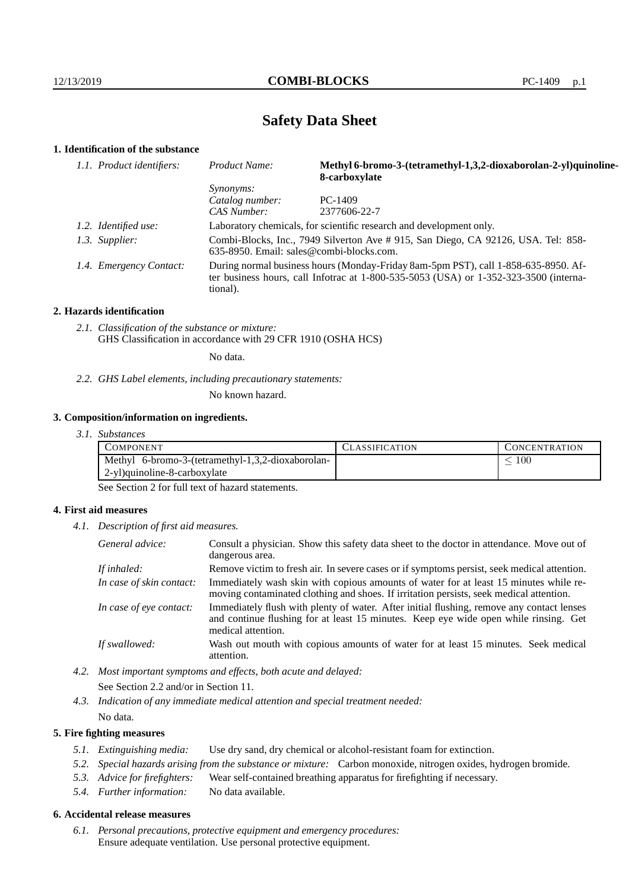# **Safety Data Sheet**

# **1. Identification of the substance**

| 1.1. Product identifiers: | Product Name:                                                                                                                                                                           | Methyl 6-bromo-3-(tetramethyl-1,3,2-dioxaborolan-2-yl)quinoline-<br>8-carboxylate |  |
|---------------------------|-----------------------------------------------------------------------------------------------------------------------------------------------------------------------------------------|-----------------------------------------------------------------------------------|--|
|                           | <i>Synonyms:</i>                                                                                                                                                                        |                                                                                   |  |
|                           | Catalog number:                                                                                                                                                                         | $PC-1409$                                                                         |  |
|                           | CAS Number:                                                                                                                                                                             | 2377606-22-7                                                                      |  |
| 1.2. Identified use:      | Laboratory chemicals, for scientific research and development only.                                                                                                                     |                                                                                   |  |
| 1.3. Supplier:            | Combi-Blocks, Inc., 7949 Silverton Ave # 915, San Diego, CA 92126, USA. Tel: 858-<br>$635-8950$ . Email: sales@combi-blocks.com.                                                        |                                                                                   |  |
| 1.4. Emergency Contact:   | During normal business hours (Monday-Friday 8am-5pm PST), call 1-858-635-8950. Af-<br>ter business hours, call Infotrac at 1-800-535-5053 (USA) or 1-352-323-3500 (interna-<br>tional). |                                                                                   |  |

#### **2. Hazards identification**

*2.1. Classification of the substance or mixture:* GHS Classification in accordance with 29 CFR 1910 (OSHA HCS)

No data.

*2.2. GHS Label elements, including precautionary statements:*

No known hazard.

### **3. Composition/information on ingredients.**

*3.1. Substances*

| COMPONENT                                         | LASSIFICATION | L'ONCENTR ATION |
|---------------------------------------------------|---------------|-----------------|
| Methyl 6-bromo-3-(tetramethyl-1,3,2-dioxaborolan- |               | 100             |
| 2-yl)quinoline-8-carboxylate                      |               |                 |

See Section 2 for full text of hazard statements.

### **4. First aid measures**

*4.1. Description of first aid measures.*

| General advice:          | Consult a physician. Show this safety data sheet to the doctor in attendance. Move out of<br>dangerous area.                                                                                            |
|--------------------------|---------------------------------------------------------------------------------------------------------------------------------------------------------------------------------------------------------|
| If inhaled:              | Remove victim to fresh air. In severe cases or if symptoms persist, seek medical attention.                                                                                                             |
| In case of skin contact: | Immediately wash skin with copious amounts of water for at least 15 minutes while re-<br>moving contaminated clothing and shoes. If irritation persists, seek medical attention.                        |
| In case of eye contact:  | Immediately flush with plenty of water. After initial flushing, remove any contact lenses<br>and continue flushing for at least 15 minutes. Keep eye wide open while rinsing. Get<br>medical attention. |
| If swallowed:            | Wash out mouth with copious amounts of water for at least 15 minutes. Seek medical<br>attention.                                                                                                        |

*4.2. Most important symptoms and effects, both acute and delayed:* See Section 2.2 and/or in Section 11.

*4.3. Indication of any immediate medical attention and special treatment needed:* No data.

### **5. Fire fighting measures**

- *5.1. Extinguishing media:* Use dry sand, dry chemical or alcohol-resistant foam for extinction.
- *5.2. Special hazards arising from the substance or mixture:* Carbon monoxide, nitrogen oxides, hydrogen bromide.
- *5.3. Advice for firefighters:* Wear self-contained breathing apparatus for firefighting if necessary.
- *5.4. Further information:* No data available.

### **6. Accidental release measures**

*6.1. Personal precautions, protective equipment and emergency procedures:* Ensure adequate ventilation. Use personal protective equipment.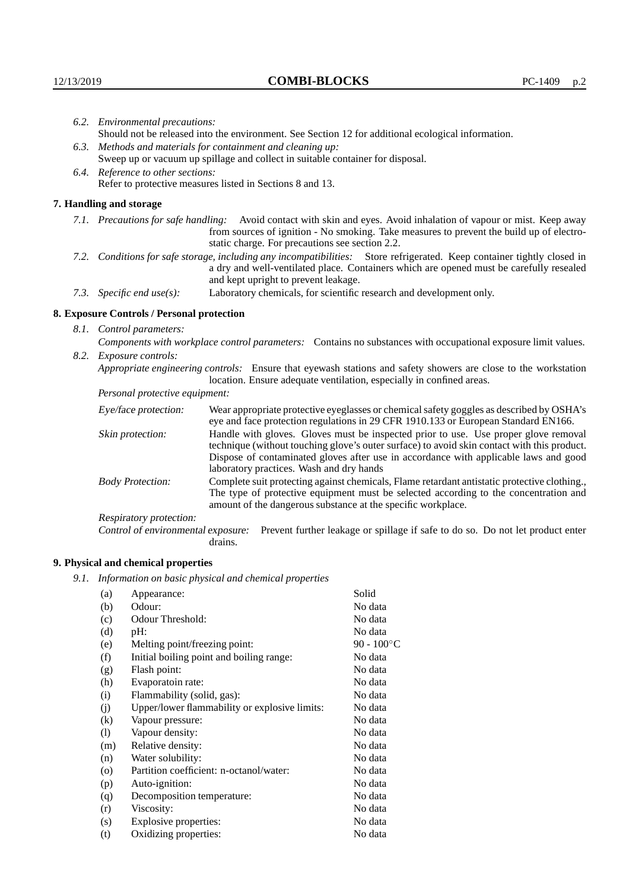| 6.2. Environmental precautions:                                                                                                                                                                                                                                       |                                                                                                                                                                                                                                                                             |  |
|-----------------------------------------------------------------------------------------------------------------------------------------------------------------------------------------------------------------------------------------------------------------------|-----------------------------------------------------------------------------------------------------------------------------------------------------------------------------------------------------------------------------------------------------------------------------|--|
| Should not be released into the environment. See Section 12 for additional ecological information.                                                                                                                                                                    |                                                                                                                                                                                                                                                                             |  |
|                                                                                                                                                                                                                                                                       | 6.3. Methods and materials for containment and cleaning up:                                                                                                                                                                                                                 |  |
|                                                                                                                                                                                                                                                                       | Sweep up or vacuum up spillage and collect in suitable container for disposal.                                                                                                                                                                                              |  |
| 6.4. Reference to other sections:                                                                                                                                                                                                                                     |                                                                                                                                                                                                                                                                             |  |
|                                                                                                                                                                                                                                                                       | Refer to protective measures listed in Sections 8 and 13.                                                                                                                                                                                                                   |  |
| 7. Handling and storage                                                                                                                                                                                                                                               |                                                                                                                                                                                                                                                                             |  |
| Avoid contact with skin and eyes. Avoid inhalation of vapour or mist. Keep away<br>7.1. Precautions for safe handling:<br>from sources of ignition - No smoking. Take measures to prevent the build up of electro-<br>static charge. For precautions see section 2.2. |                                                                                                                                                                                                                                                                             |  |
| 7.2. Conditions for safe storage, including any incompatibilities: Store refrigerated. Keep container tightly closed in<br>a dry and well-ventilated place. Containers which are opened must be carefully resealed<br>and kept upright to prevent leakage.            |                                                                                                                                                                                                                                                                             |  |
| 7.3. Specific end use(s):                                                                                                                                                                                                                                             | Laboratory chemicals, for scientific research and development only.                                                                                                                                                                                                         |  |
| 8. Exposure Controls / Personal protection                                                                                                                                                                                                                            |                                                                                                                                                                                                                                                                             |  |
| 8.1. Control parameters:                                                                                                                                                                                                                                              |                                                                                                                                                                                                                                                                             |  |
| Components with workplace control parameters: Contains no substances with occupational exposure limit values.                                                                                                                                                         |                                                                                                                                                                                                                                                                             |  |
| 8.2. Exposure controls:                                                                                                                                                                                                                                               |                                                                                                                                                                                                                                                                             |  |
| Appropriate engineering controls: Ensure that eyewash stations and safety showers are close to the workstation<br>location. Ensure adequate ventilation, especially in confined areas.                                                                                |                                                                                                                                                                                                                                                                             |  |
| Personal protective equipment:                                                                                                                                                                                                                                        |                                                                                                                                                                                                                                                                             |  |
| Eye/face protection:                                                                                                                                                                                                                                                  | Wear appropriate protective eyeglasses or chemical safety goggles as described by OSHA's<br>eye and face protection regulations in 29 CFR 1910.133 or European Standard EN166.                                                                                              |  |
| Skin protection:                                                                                                                                                                                                                                                      | Handle with gloves. Gloves must be inspected prior to use. Use proper glove removal<br>technique (without touching glove's outer surface) to avoid skin contact with this product.<br>Dignage of conteminated glories often use in cooperations with employed laws and good |  |

## **8. Exposure Controls / Personal protection**

| Eye/face protection:               | Wear appropriate protective eyeglasses or chemical safety goggles as described by OSHA's<br>eye and face protection regulations in 29 CFR 1910.133 or European Standard EN166.                                                                                                                                         |                                                                                |
|------------------------------------|------------------------------------------------------------------------------------------------------------------------------------------------------------------------------------------------------------------------------------------------------------------------------------------------------------------------|--------------------------------------------------------------------------------|
| Skin protection:                   | Handle with gloves. Gloves must be inspected prior to use. Use proper glove removal<br>technique (without touching glove's outer surface) to avoid skin contact with this product.<br>Dispose of contaminated gloves after use in accordance with applicable laws and good<br>laboratory practices. Wash and dry hands |                                                                                |
| <b>Body Protection:</b>            | Complete suit protecting against chemicals, Flame retardant antistatic protective clothing.,<br>The type of protective equipment must be selected according to the concentration and<br>amount of the dangerous substance at the specific workplace.                                                                   |                                                                                |
| Respiratory protection:            |                                                                                                                                                                                                                                                                                                                        |                                                                                |
| Control of environmental exposure: | drains.                                                                                                                                                                                                                                                                                                                | Prevent further leakage or spillage if safe to do so. Do not let product enter |

# **9. Physical and chemical properties**

*9.1. Information on basic physical and chemical properties*

| (a)                | Appearance:                                   | Solid                |
|--------------------|-----------------------------------------------|----------------------|
| (b)                | Odour:                                        | No data              |
| (c)                | Odour Threshold:                              | No data              |
| (d)                | pH:                                           | No data              |
| (e)                | Melting point/freezing point:                 | 90 - $100^{\circ}$ C |
| (f)                | Initial boiling point and boiling range:      | No data              |
| (g)                | Flash point:                                  | No data              |
| (h)                | Evaporatoin rate:                             | No data              |
| (i)                | Flammability (solid, gas):                    | No data              |
| (j)                | Upper/lower flammability or explosive limits: | No data              |
| $\left( k\right)$  | Vapour pressure:                              | No data              |
| (1)                | Vapour density:                               | No data              |
| (m)                | Relative density:                             | No data              |
| (n)                | Water solubility:                             | No data              |
| $\left( 0 \right)$ | Partition coefficient: n-octanol/water:       | No data              |
| (p)                | Auto-ignition:                                | No data              |
| (q)                | Decomposition temperature:                    | No data              |
| (r)                | Viscosity:                                    | No data              |
| (s)                | Explosive properties:                         | No data              |
| (t)                | Oxidizing properties:                         | No data              |